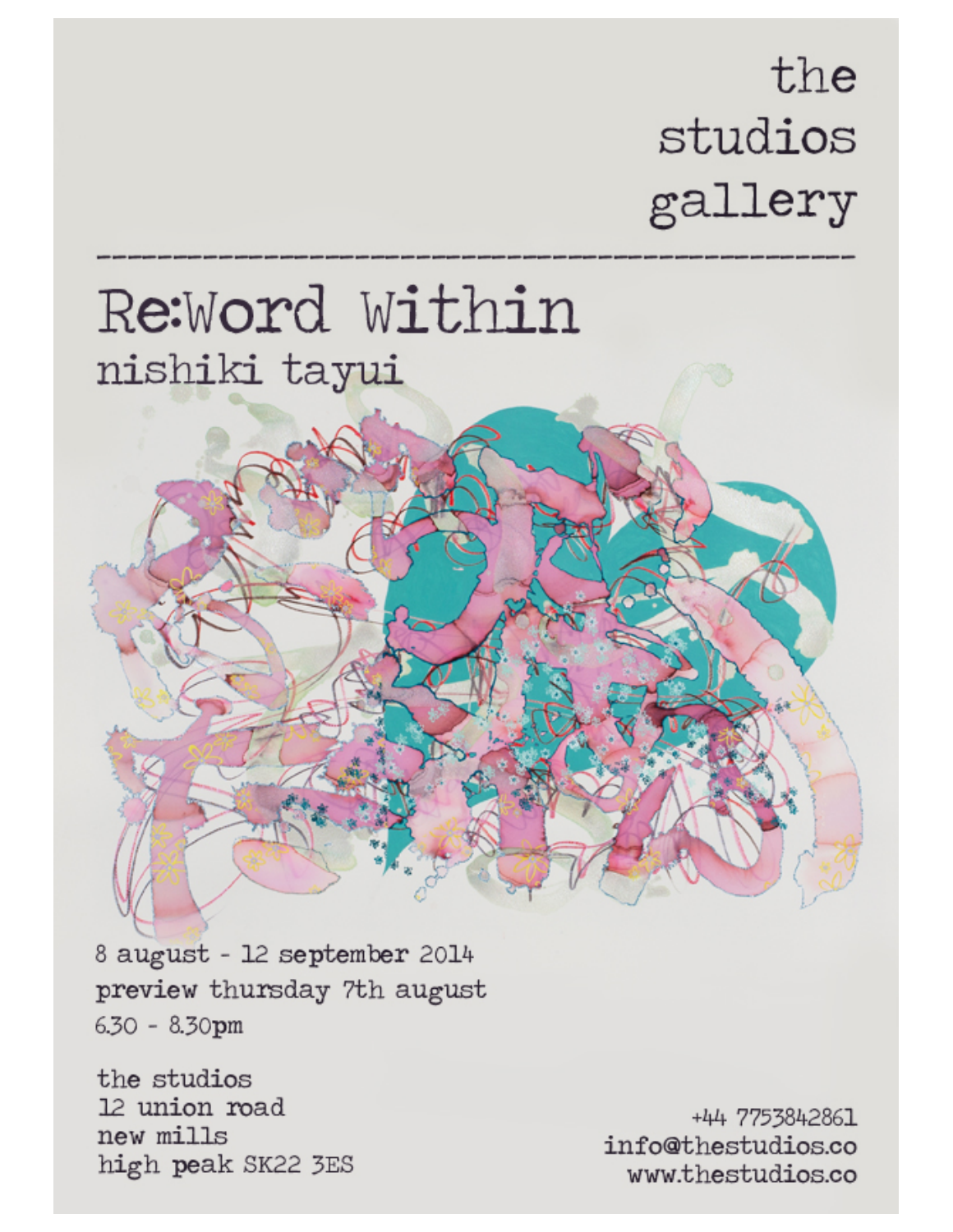### the studios gallery

## Re:Word Within nishiki tayui

8 august - 12 september 2014 preview thursday 7th august 6.30 - 8.30pm

the studios 12 union road new mills high peak SK22 3ES

+44 7753842861 info@thestudios.co www.thestudios.co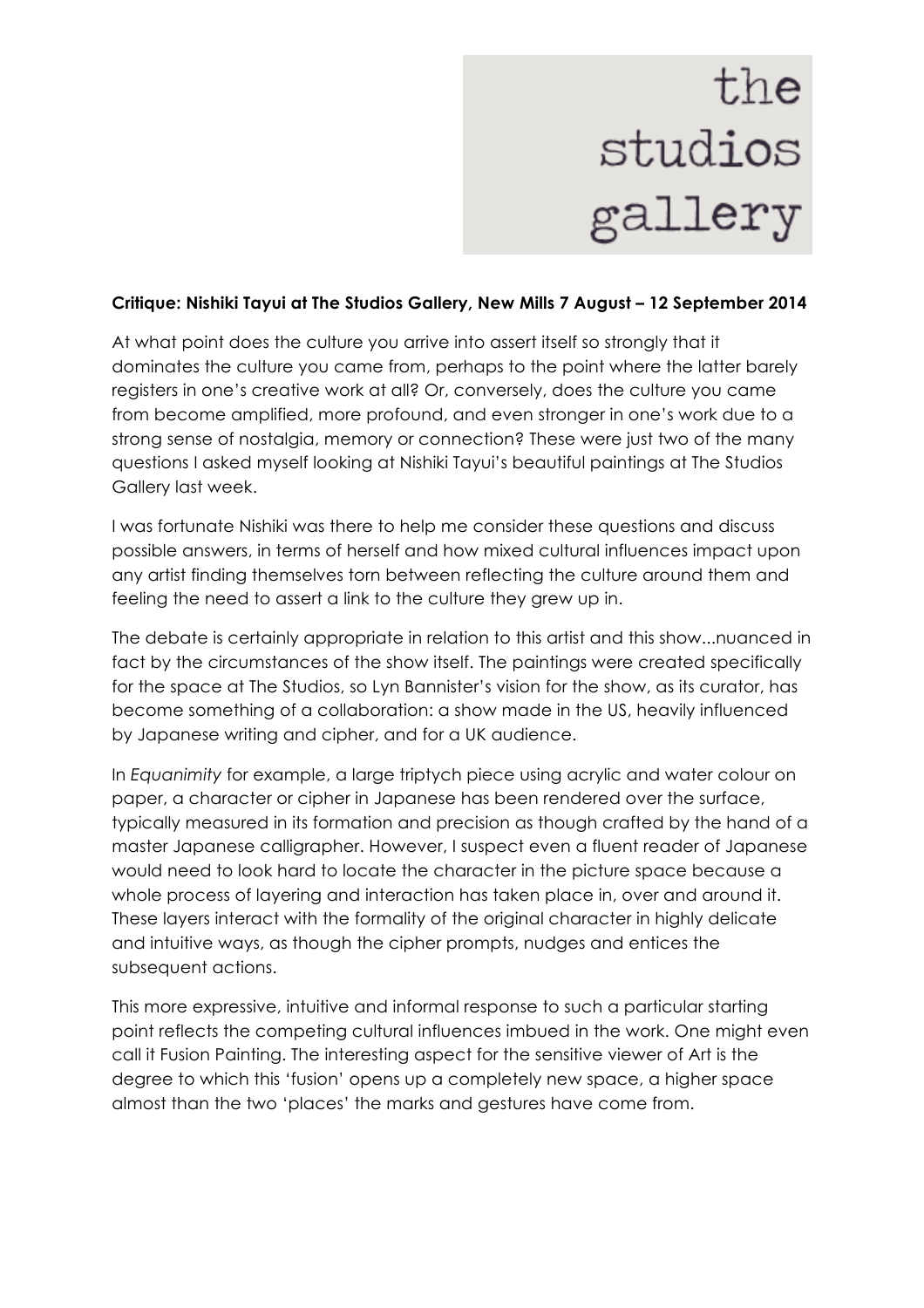# the<br>studios gallery

### **Critique: Nishiki Tayui at The Studios Gallery, New Mills 7 August – 12 September 2014**

At what point does the culture you arrive into assert itself so strongly that it dominates the culture you came from, perhaps to the point where the latter barely registers in one's creative work at all? Or, conversely, does the culture you came from become amplified, more profound, and even stronger in one's work due to a strong sense of nostalgia, memory or connection? These were just two of the many questions I asked myself looking at Nishiki Tayui's beautiful paintings at The Studios Gallery last week.

I was fortunate Nishiki was there to help me consider these questions and discuss possible answers, in terms of herself and how mixed cultural influences impact upon any artist finding themselves torn between reflecting the culture around them and feeling the need to assert a link to the culture they grew up in.

The debate is certainly appropriate in relation to this artist and this show...nuanced in fact by the circumstances of the show itself. The paintings were created specifically for the space at The Studios, so Lyn Bannister's vision for the show, as its curator, has become something of a collaboration: a show made in the US, heavily influenced by Japanese writing and cipher, and for a UK audience.

In *Equanimity* for example, a large triptych piece using acrylic and water colour on paper, a character or cipher in Japanese has been rendered over the surface, typically measured in its formation and precision as though crafted by the hand of a master Japanese calligrapher. However, I suspect even a fluent reader of Japanese would need to look hard to locate the character in the picture space because a whole process of layering and interaction has taken place in, over and around it. These layers interact with the formality of the original character in highly delicate and intuitive ways, as though the cipher prompts, nudges and entices the subsequent actions.

This more expressive, intuitive and informal response to such a particular starting point reflects the competing cultural influences imbued in the work. One might even call it Fusion Painting. The interesting aspect for the sensitive viewer of Art is the degree to which this 'fusion' opens up a completely new space, a higher space almost than the two 'places' the marks and gestures have come from.